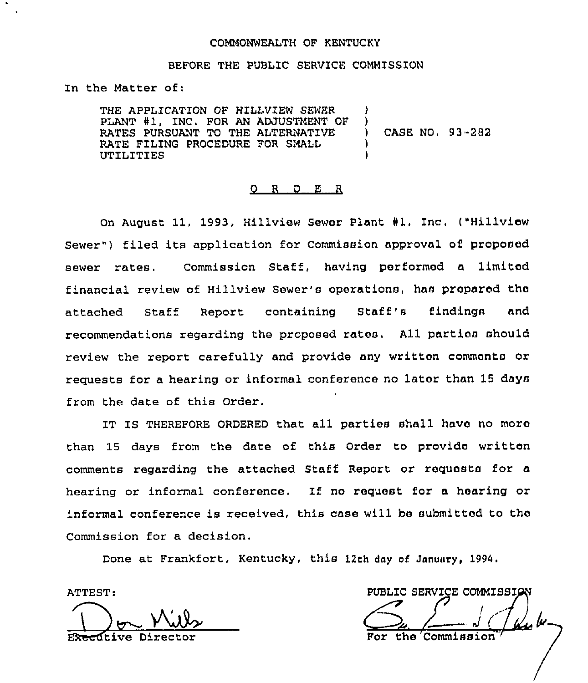#### COMMONWEALTH OF KENTUCKY

#### BEFORE THE PUBLIC SERVICE COMMISSION

In the Matter of:

THE APPLICATION OF HILLVIEW SEWER PLANT #1, INC. FOR AN ADJUSTMENT OF RATES PURSUANT TO THE ALTERNATIVE RATE FILING PROCEDURE FOR SMALL UTILITIES )

CASE NO, 93-282

## 0 <sup>R</sup> <sup>D</sup> <sup>E</sup> <sup>R</sup>

On August 11, 1993, Hillview Sewer Plant #1, Inc. ("Hillviow Sewer") filed its application for Commission approval of proposed sewer rates. Commission Staff, having performed a limited financial review of Hillview Sewer's operations, has prepared tho attached Staff Report containing Staff's findings and recommendations regarding the proposed rates. All parties should review the report carefully and provide any written commonto or requests for a hearing or informal conference no later than 15 days from the date of this Order,

IT IS THEREFORE ORDERED that all parties shall have no moro than 15 days from the date of this Order to provido written comments regarding the attached Staff Report or requests for a hearing or informal conference, If no request for a hearing or informal conference is received, this case will be submitted to tho Commission for a decision.

Done at Frankfort, Kentucky, this 12th day of January, 1994.

ATTEST: I

ftive Direc

PUBLIC SERVICE COMMISSIG the Commi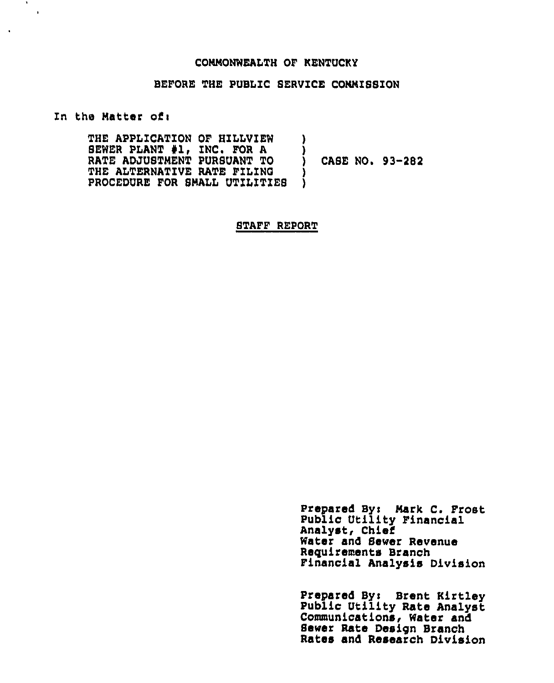#### COMMONWEALTH OF KENTUCKY

# BEFORE THE PUBLIC SERVICE CONNISSION

In the Matter of:

 $\mathbf{R}$  $\blacksquare$ 

> THE APPLICATION OF HILLVIEW SEWER PLANT #1, INC. FOR A RATE ADJUSTMENT PURSUANT TO THE ALTERNATIVE RATE FILING PROCEDURE FOR SMALL UTILITIES ) ) ) CASE NO. 93-282 ) )

> > STAFF REPORT

Prepared Byi Mark C. Frost Public Utility Financial Analyst, Chief Water and Sewer Revenue Requirements Branch Financial Analysis Division

Prepared Byi Brent Kirtley Publio Utility Rate Analyst Communications, Water and Sewer Rate Design Branch Rates and Research Division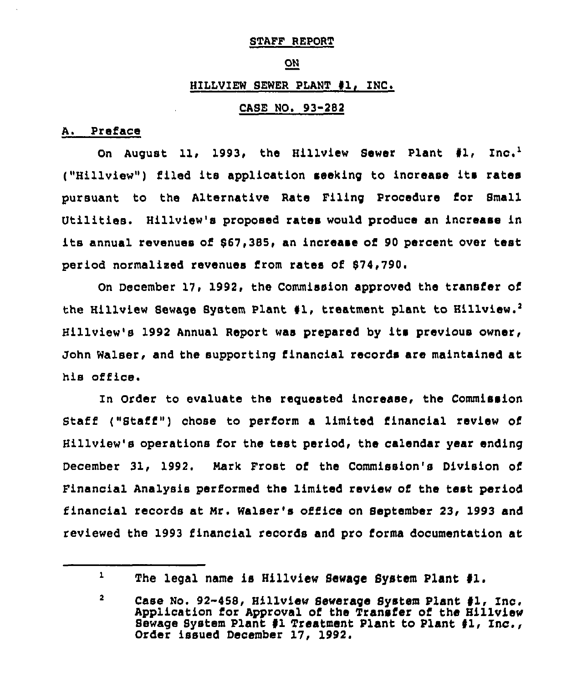#### STAFF REPORT

# ON

# HILLVIEW SEWER PLANT #1, INC.

# CASE NO, 93-282

# A. Preface

On August 11, 1993, the Hillview Sewer Plant #1, Inc.<sup>1</sup> ("Hillview") filed its application seeking to increase its rates pursuant to the Alternative Rate Filing Procedure for Small Utilities. Hillview's proposed rates would produce an increase in its annual revenues of 867,385, an increase of <sup>90</sup> percent over test period normalised revenues from rates of \$74,790

December 17, 1992, the Commission approved the transfer of the Hillview Sewage System Plant #1, treatment plant to Hillview.<sup>2</sup> Hillview's 1992 Annual Report was prepared by its previous owner, John Walser, and the supporting financial records are maintained at his office.

In Order to evaluate the reguested increase, the Commission Staff ("Staff") chose to perform a limited financial review of Hillview's operations for the test period, the calendar year ending December 31, 1992. Nark Frost of the Commission's Division of Financial Analysis performed the limited review of the test period financial records at Mr. Walser's office on September 23, 1993 and reviewed the 1993 financial records and pro forms documentation at

 $\mathbf{1}$ 

The legal name is Hillview Sewage System Plant #1.

 $\overline{2}$ Case No. 92-458, Hillview Sewerage System Plant #1, Inc. Application for Approval of the Transfer of the Hillview Sewage System Plant #1 Treatment Plant to Plant #1, Inc., Order issued December 17, 1992.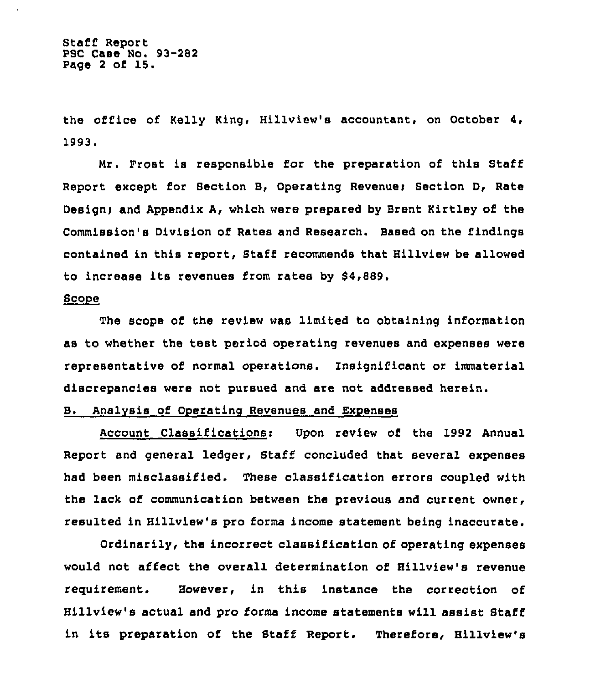the office of Kelly King, Hillview's accountant, on October 4, 1993.

Mr. Frost is responsible for the preparation of this Staff Report except for Section B, Operating Revenue; Section D, Rate Design) and Appendix A, which were prepared by Brent Kirtley of the Commission's Division of Rates and Research. Based on the findings contained in this report, Staff recommends that Hillview be allowed to increase its revenues from rates by 84,889.

# ~Sco e

The scope of the review was limited to obtaining information as to whether the test period operating revenues and expenses were representative of normal operations. insignificant or immaterial discrepancies were not pursued and are not addressed herein.

# B. Analysis of Operating Revenues and Expenses

Account Classifications: Upon review of the 1992 Annual Report and general ledger, Staff concluded that several expenses had been misclassified. These classification errors coupled with the lack of communication between the previous and current owner, resulted in Hillview's pro forms income statement being inaccurate.

Ordinarily, the incorrect classification of operating expenses would not affect the overall determination of Hillview's revenue requitement. However, in this instance the correction of Hillview's actual and pro forms income statements will assist Staff in its preparation of the Staff Report. Therefore, Hillview's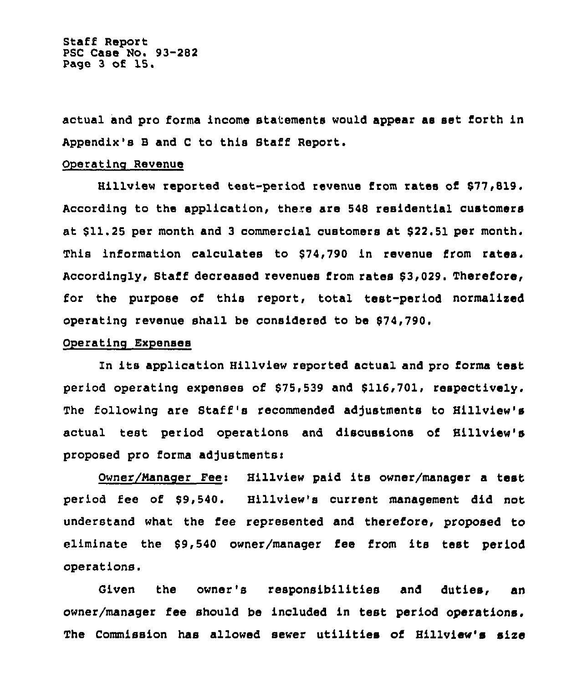Staff Report PSC Case No. 93-282 Page <sup>3</sup> of 15.

actual and pro forma income statements would appear as set forth in Appendix's B and C to this Staff Report.

#### Operating Revenue

Hillview reported test-period revenue from rates oi 877,819, According to the application, there are 548 residential customers at  $$11.25$  per month and 3 commercial customers at  $$22.51$  per month. This information calculates to \$74,790 in revenue from rates. Accordingly, Staff decreased revenues from rates 83,029. Therefore, foe the purpose of this report, total test-period normalized operating revenue shall be considered to be 874,790,

# Operating Expenses

In its application Hillview reported actual and pro forms test period operating expenses of 875,539 and 8116,701, respectively. The following are Staff 's recommended adjustments to Hillview's actual teat period operations and discussions of Hillview's proposed pro forma adjustments:

Owner/Manager Fee: Hillview paid its owner/manager a test period fee of 89,540. Hillview's current management did not understand what the fee represented and therefore, proposed to eliminate the 89,540 owner/manager fee from its test period operations.

Given the owner's responsibilities and duties, an owner/manager fee should be included in test period operations. The Commission has allowed sewer utilities of Hillview's size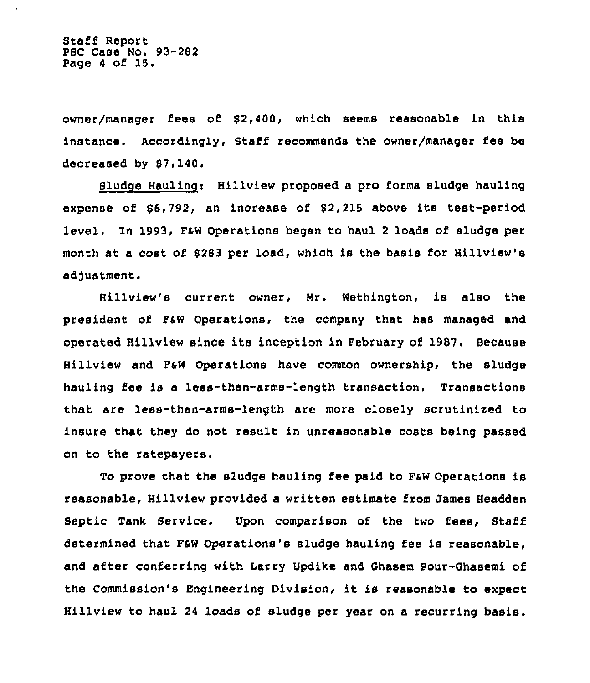Staff Report PSC Case No. 93-282 Page <sup>4</sup> of 15.

owner/manager fees of 82,400, which seems reasonable in this instance. Accordingly, 8taff recommends the owner/manager fee be decreased by 87,140.

Sludge Hauling: Hillview proposed a pro forma sludge hauling expense of 86,792, an increase of 82,215 above its test-period level. In 1993, PeW Operations began to haul <sup>2</sup> loads of sludge per month at a cost of 8283 per load, which is the basis for Hillview's adjustment.

Hillview's current owner, Mr. Wethington, is also the president of PsW Operations, the company that has managed and operated Hillview since its inception in February of 1987. Because Hillview and F4W Operations have common ownership, the sludge hauling fee is a less-than-arms-length transaction, Transactions that are less-than-arms-length are more closely scrutinised to insure that they do not result in unreasonable costs being passed on to the ratepayers.

To prove that the sludge hauling fee paid to F&W Operations is reasonable, Hillview provided a written estimate from James Headden Septic Tank Service. Upon comparison of the two fees, Staff determined that F&W Operations's sludge hauling fee is reasonable, and after conferring with Larry Updike and Ghasem Pour-Ghasemi of the Commission's Engineering Division, it is reasonable to expect Hillview to haul 24 loads of sludge per year on a recurring basis.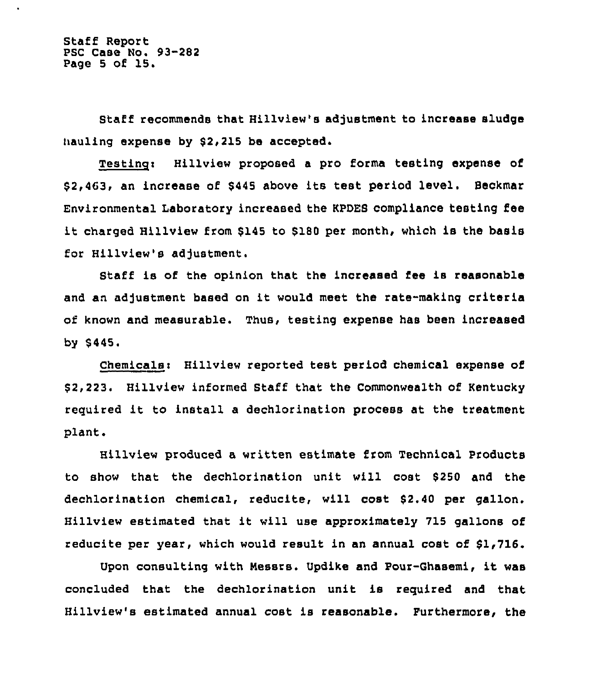Staff Report PSC Case No. 93-282 Page <sup>5</sup> of 15.

Staff recommends that Hillview's adjustment to increase sludge hauling expense by \$2,215 be accepted.

Testing: Hillview proposed a pro forma testing expense of \$ 2,463, an increase of \$<sup>445</sup> above its test period level. Beckmar Environmental Laboratory increased the KPDES compliance testing fee it charged Hillview from \$<sup>145</sup> to \$<sup>180</sup> per month, which is the basis for Hillview's adjustment.

Staff is of the opinion that the increased fee is reasonable and an adjustment based on it would meet the rate-making criteria of known and measurable. Thus, testing expense has been increased by \$ 445.

Chemicalsi Hillview reported test period chemical expense of \$ 2,223. Hillview informed Staff that the Commonwealth of Kentucky required it to install <sup>a</sup> dechlorination process at the treatment plant.

Hillview produced a written estimate from Technical Products to show that the dechlorination unit will cost \$ 250 and the dechlorination chemical, reducite, will cost \$2.40 per gallon. Hillview estimated that it will use approximately <sup>715</sup> gallons of reducite per year, which would result in an annual cost of \$1,716.

Upon consulting with Messrs. Updike and Pour-Ghasemi, it was concluded that the dechlorination unit is required and that Hillview's estimated annual cost is reasonable. Furthermore, the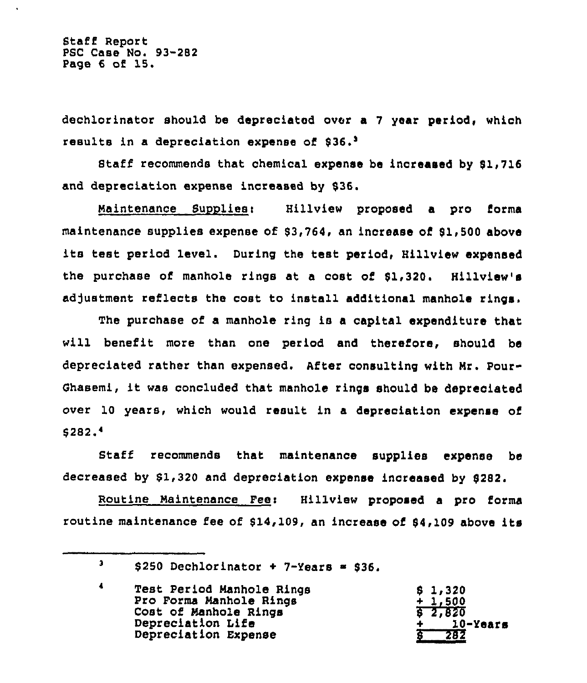Staff Report PSC Case No. 93-282 Page 6 of 15.

dechlorinator should be depreciated over a 7 year period, whioh results in a depreciation expense of \$36.<sup>3</sup>

Staff recommends that chemical expense be increased by \$1,716 and depreciation expense increased by \$36.

Maintenance Suopliesi Hillview proposed a pro forms maintenance supplies expense of \$3,764, an increase of \$1,500 above its test period level. During the test period, Hillview expensed the purchase of manhole rings at a cost of \$1,320. Hillview's adjustment reflects the cost to install additional manhole rings.

The purchase of a manhole ring is a capital expenditure that will benefit more than one period and therefore, should be depreciated rather than expensed. AEter consulting with Mr. Pour-Ghasemi, it was concluded that manhole rings should be depreciated over 10 years, which would result in a depreciation expense of \$ 282

Staff recommends that maintenance supplies expense be decreased by  $$1,320$  and depreciation expense increased by  $$282$ .

Routine Maintenance Feei Hillview proposed a pro forms routine maintenance fee of  $$14,109$ , an increase of  $$4,109$  above its

 $\mathbf{3}$  $$250$  Dechlorinator + 7-Years = \$36.

 $\blacktriangleleft$ Test Period Manhole Rings \$ 1i 320 Pro Forms Manhole Rings + 1,500 Cost of Manhole Rings 2,820 Depreciation Life + 10-Years Depreciation Expense 282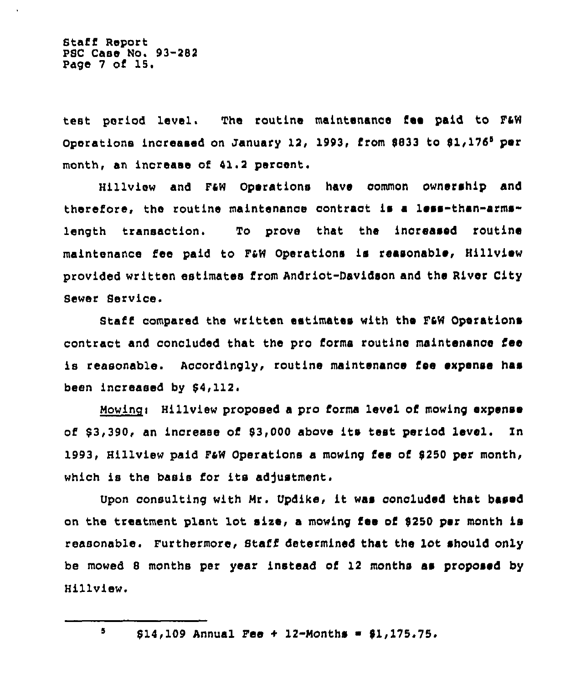Staff Report PSC Case No. 93-282 Page <sup>7</sup> of 15.

teat period level, The routine maintenance fee paid to FAW Operations increased on January 12, 1993, from 8833 to  $$1,176^5$  per month, an increase of 41.2 percent.

Hillview and F4W Operations have common ownership and therefore, the routine maintenance contract is a less-than-arms" length transaction. To prove that the increased routine maintenance fee paid to F4W Operations is reasonable, Hillview provided written estimates from Andriot-Davidson and the River City Sewer Service.

Staff compared the written estimates with the F&W Operations contract and concluded that the pro forms routine maintenance iee is reasonable. Accordingly, routine maintenance fee expanse has been increased by 54,112

Mowing: Hillview proposed a pro forma level of mowing expense of \$ 3,390, an increase of 83,000 above its test period level. In 1993, Hillview paid F&W Operations a mowing fee of \$250 per month, which is the basis for its adjustment.

Upon consulting with Nr. Updlke, it was concluded that based on the treatment plant lot size, a mowing fee of \$250 per month is reasonable. Furthermore, Staff determined that the lot should only be mowed 8 months per year instead of 12 months as proposed by Hillview.

 $$14,109$  Annual Fee + 12-Months =  $$1,175.75.$ 

 $\overline{\mathbf{5}}$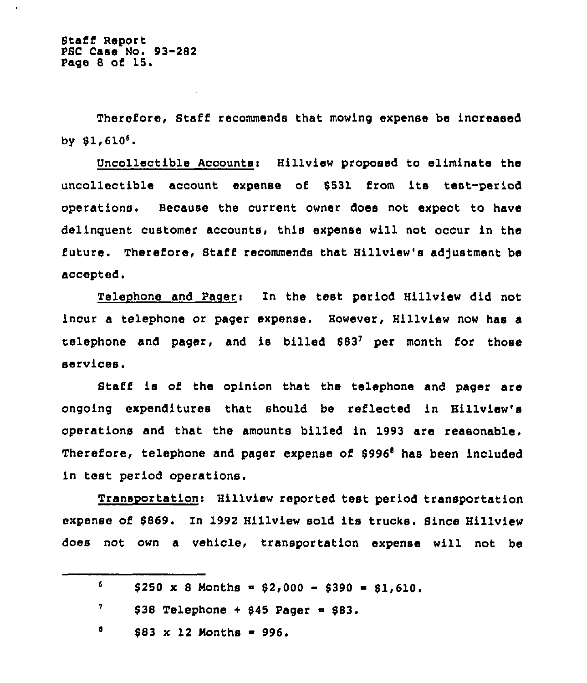Therefore, Staff recommends that mowing expense be increased by  $$1,610<sup>6</sup>$ .

Uncollectible Accounts< Hillview proposed to eliminate the uncollectible account expense of \$531 from its test-period operations. Because the current owner does not expect to have delinquent customer accounts, this expense will not occur in the future. Therefore, Staff recommends that Hillview's adjustment be accepted.

Telephone and Pageri In the test period Hillview did not incur a telephone or pager expense. However, Hillview now has a telephone and pager, and is billed  $$83^7$  per month for those services.

Staff is of the opinion that the telephone and pager are ongoing expenditures that should be reflected in Hillview's operations and that the amounts billed in 1993 are reasonable. Therefore, telephone and pager expense of \$996<sup>8</sup> has been included in test period operations.

Transportation> Hillview reported test period transportation expense of 8869. In 1992 Hillview sold its trucks. Bince Hillview does not own a vehicle, transportation expense will not be

| 6. | $$250 \times 8$ Months = $$2,000 - $390 = $1,610.$ |
|----|----------------------------------------------------|
|    | \$38 Telephone + \$45 Pager = \$83.                |
|    | $$83 \times 12$ Months = 996.                      |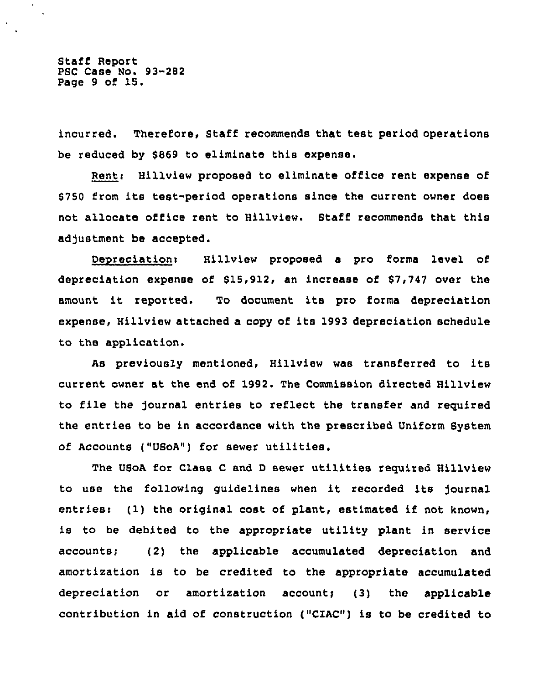Staff Report PSC Case No. 93-282 Page <sup>9</sup> of 15.

incurred. Therefore, Staff recommends that test period operations be reduced by \$869 to eliminate this expense.

Renti Hillview proposed to eliminate office rent expense of \$ <sup>750</sup> from its test-period operations since the current owner does not allocate office rent to Hillview. Staff recommends that this adjustment be accepted.

Depreciation: Hillview proposed a pro forma level of depreciation expense of  $$15,912$ , an increase of  $$7,747$  over the amount it reported. To document its pro forma depreciation expense, Hillview attached a copy of its 1993 depreciation schedule to the application.

As previously mentioned, Hillview was transferred to its current owner at the end of 1992. The Commission directed Hillview to file the )ournal entries to reflect the transfer and reguired the entries to be in accordance with the prescribed Uniform System of Accounts ("USoA") for sewer utilities.

The USoA for Class <sup>C</sup> and <sup>D</sup> sewer utilities reguired Hillview to use the following guidelines when it recorded its )ournal entriesi (1) the original cost of plant, estimated if not known, is to be debited to the appropriate utility plant in service accounts; (2) the applicable accumulated depreciation and amortization is to be credited to the appropriate accumulated depreciation or amortization account;  $(3)$  the applicable contribution in aid of construction ("CIAC") is to be credited to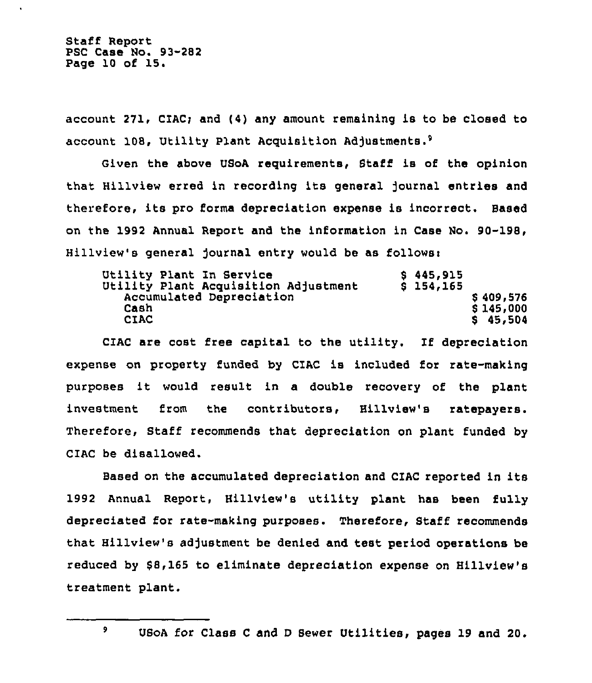Staff Report PSC Case No. 93-282 Page 10 of 15.

account 271, CIAC; and (4) any amount remaining is to be closed to account 108, Utility Plant Acquisition Adjustments.<sup>9</sup>

Given the above USoA requirements, Staff is of the opinion that Hillview erred in recording its general journal entries and therefore, its pro forms depreciation expense is incorrect. Based on the 1992 Annual Report and the information in Case No. 90-198, Hillview's general journal entry would be as follows:

| \$445,915   |
|-------------|
| $S$ 154,165 |
| \$409,576   |
| \$145,000   |
| \$45,504    |
|             |

CIAC are cost free capital to the utility. If depreciation expense on property funded by CIAC is included for rate-making purposes it would result in <sup>a</sup> double recovery of the plant investment from the contributors, Hillview's ratepayers. Therefore, Staff recommends that depreciation on plant funded by CIAC be disallowed.

Based on the accumulated depreciation and CIAC reported in its 1992 Annual Report, Hillview's utility plant has been fully depreciated for rate-making purposes. Therefore, Staff recommends that Hillview's adjustment be denied and test period operations be reduced by \$8,165 to eliminate depreciation expense on Hillview's treatment plant.

9

USoA for Class <sup>C</sup> and <sup>D</sup> Sewer Utilities, pages 19 and 20.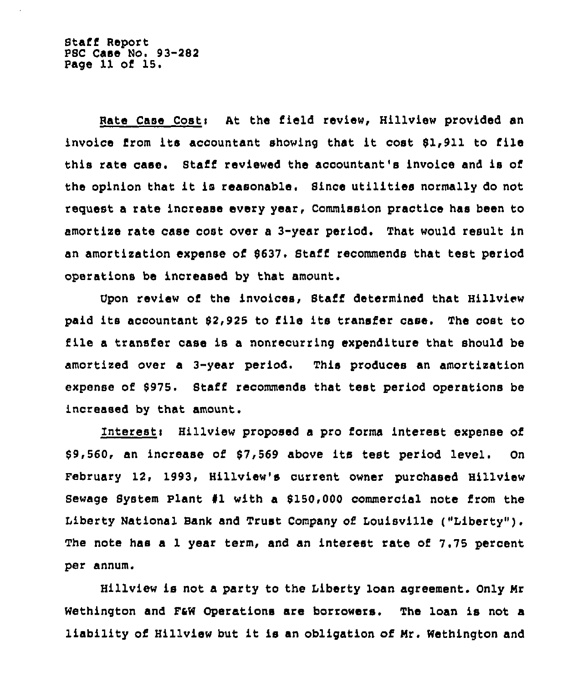Staff Report PSC Case No. 93-282 Page 11 of 15.

Hate Case Costi At the field review, Hillview provided an invoice from its accountant showing that it cost 61,911 to file this rate case. Staff reviewed the accountant's invoice and is of the opinion that it is reasonable. Since utilities normally do not request a rate increase every year, Commission practice has been to amortize rate case cost over a 3-year period. That would result in an amortization expense of 6637. Staff recommends that test period operations be increased by that amount.

Upon review of the invoices, Staff determined that Hillview paid its accountant 62,925 to file its transfer case. The cost to file <sup>a</sup> transfer case is a nonrecurring expenditure that should be amortized over a 3-year period, This produces an amortization expense of 5975. Staff recommends that test period operations be increased by that amount.

Interest: Hillview proposed a pro forma interest expense of \$ 9,560, an increase of 67,569 above its test period level. On February 12, 1993, Hillview's current owner purchased Hillview Sewage System Plant  $#1$  with a \$150,000 commercial note from the Liberty National Bank and Trust Company of Louisville ("Liberty" ). The note has a 1 year term, and an interest rate of 7.75 percent per annum.

Hillview is not a party to the Liberty loan agreement. Only Hr Wethington and F&W Operations are borrowers. The loan is not a liability of Hillview but it is an obligation of Hr. Wethington and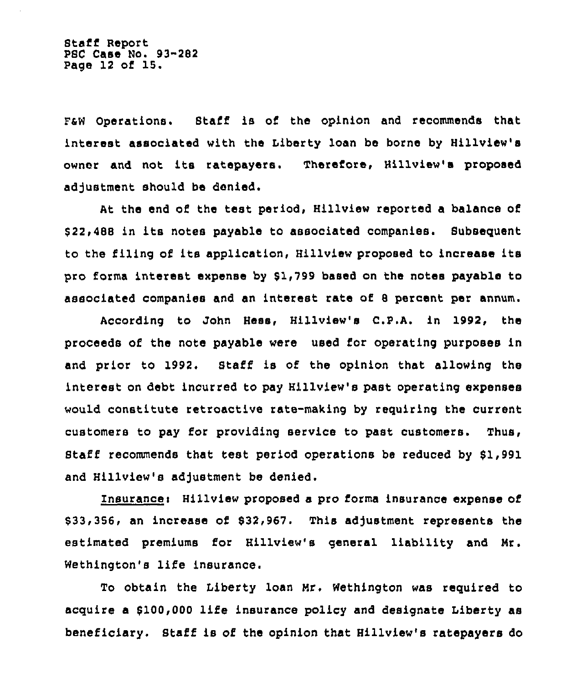Staff Report PSC Case No. 93-282 Page 12 of 15.

FaW Operations. Staff is of the opinion and recommends that interest associated with the Liberty loan be borne by Hillview's owner and not its ratepayers. Therefoxe, Hillview's proposed adjustment should be denied.

At the end of the test period, Hillview reported a balance of \$ 22,488 in its notes payable to associated companies. Subsequent to the iiling of its application, Hillview proposed to increase its pro forma intexest expense by \$1,799 based on the notes payable to associated companies and an interest rate of 8 percent per annum.

According to John Bess, Hillview's C.P.A. in 1992, the proceeds of the note payable were used for operating purposes in and prior to 1992, Staff is of the opinion that allowing the intexest on debt incurred to pay Hillview's past operating expenses would constitute retroactive rate-making by requiring the current customers to pay for providing service to past customers. Thus, Staff recommends that test period operations be reduced by \$1,991 and Hillview's adjustment be denied.

Znsurancei Hillview proposed a pro forms insurance expense of \$ 33,356, an increase of \$32,967. This adjustment represents the estimated premiums for Hillview's general liability and Mr. Wethington's life insurance.

To obtain the Liberty loan Mr. Wethington was required to acquire a \$100,000 life insurance policy and designate Liberty as beneficiary. Staff is of the opinion that Hillview's ratepayers do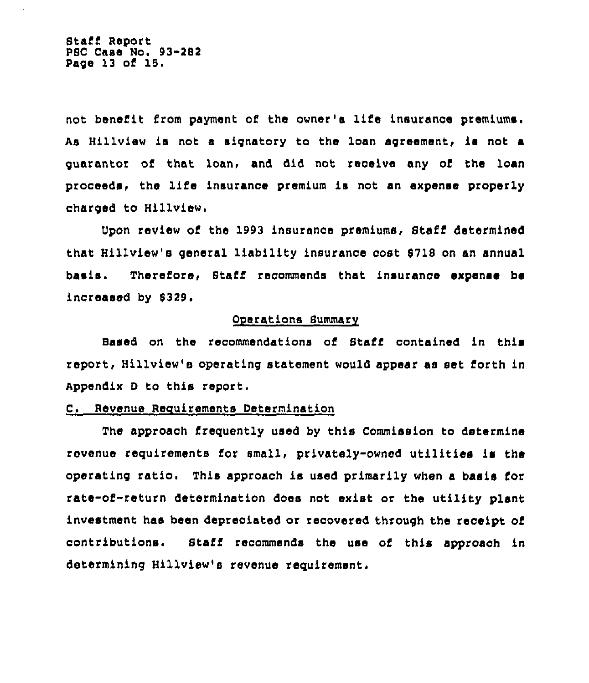Staff Report PSC Casa No. 93-282 Page 13 of 15

not benefit from payment of the owner's life insurance premiums. As Hillview is not a signatory to the loan agreement, is not a guarantor of that loan, and did not receive any of the loan proceeds, the life insurance premium is not an expense properly charged to Hillview,

Upon review of the 1993 insurance premiums, Staff determined that Hillview's general liability insurance cost 9718 on an annual basis. Therefore, Staff recommends that insurance expense be increased by 0329.

#### Operations Summary

Based on the recommendations of Staff contained in this report, Hillview's operating statement would appear as set forth in Appendix <sup>D</sup> to this report.

# C. Revenue Requirements Determination

The approach frequently used by this Commission to determine revenue requirements for small, privately-owned utilities is the operating ratio. This approach is used primarily when <sup>a</sup> basis for rate-of-return determination does not exist or the utility plant investment has been depreciated or recovered through the receipt of contributions. Staff recommends the use of this approach in determining Hillview's revenue requirement.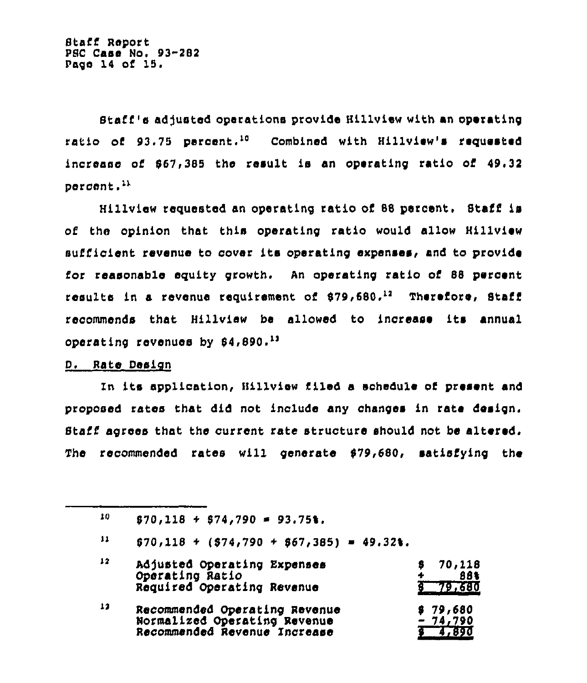Staff's adjusted operations provide Hillview with an operating ratio of 93.75 percent.<sup>10</sup> Combined with Hillview's requested increase of 867,385 the result is an operating ratio of 49,32 percent.'"

Hillview requested an operating ratio of 88 percent. Staff is of the opinion that this operating ratio would allow Hillview sufficient revenue to cover its operating expenses, and to provide for reasonable equity growth. An operating ratio of 88 percent results in a revenue requirement of  $$79,680.^{12}$  Therefore, Staff recommends that Hillview be allowed to increase its annual operating revenues by \$4,890.13

# D. Rate Design

Xn its application, Hillview filed a schedule of present and proposed rates Chat did not include any changes in rate design. Staff agrees that the current rate structure should not be altered. The recommended rates will generate  $$79,680$ , satisfying the

 $11$  $$70,118$  + (\$74,790 + \$67,385) = 49.32%.

| 12 | Adjusted Operating Expenses<br>Operating Ratio                                                | 70,118<br>88%                  |
|----|-----------------------------------------------------------------------------------------------|--------------------------------|
|    | Required Operating Revenue                                                                    | 379,680                        |
| 13 | Recommended Operating Revenue<br>Normalized Operating Revenue<br>Recommended Revenue Increase | \$79,680<br>$-74,790$<br>4,890 |

<sup>10</sup>  $$70,118 + $74,790 = 93.75$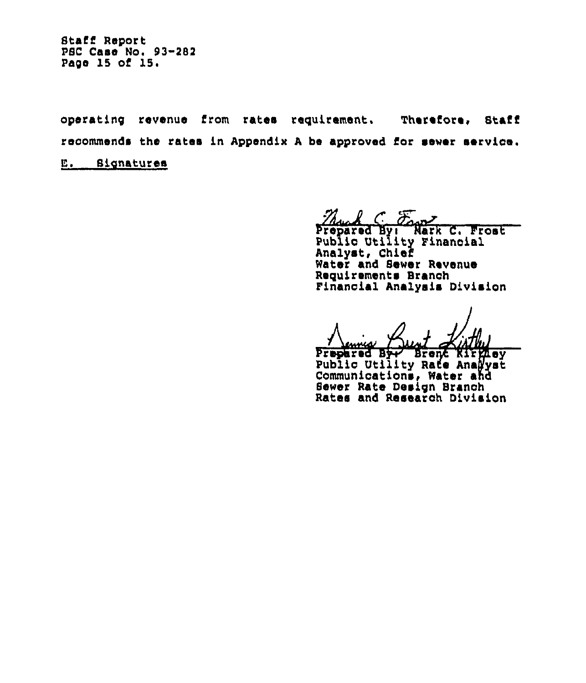operating revenue from rates requirement. Therefore, Staff reoommends the rates in Appendix <sup>A</sup> be approved for sewer servioe.

E. Signatures

Mused By: Nark C, Frost

Pub1io Utility Finanoial Analyst, Chief Water and Sewer Revenue Requirements Branoh Finanoial Analysis Division

<u>. Annee Albert College</u><br>Prepared By Brent Kirgley<br>Bublic Hillian Base Analysis Public Utility Rate Analyst Communications, Water and Sewer Rate Design Branoh Rates and Researoh Division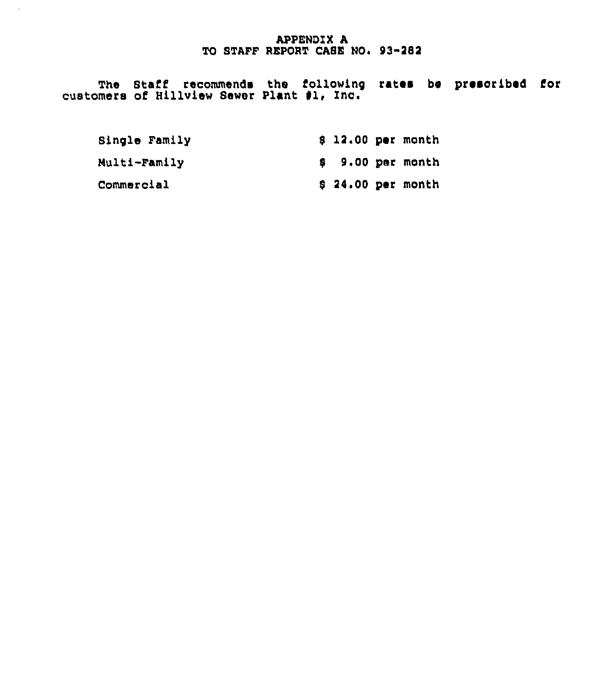# **APPENDIX A** TO STAFF REPORT CASE NO. 93-282

The Staff recommends the following rates be prescribed for customers of Hillview Sewer Plant #1, Inc.

| Single Family | $$12.00$ per month |  |
|---------------|--------------------|--|
| Multi-Family  | $$9.00$ per month  |  |
| Commercial    | $$24.00$ per month |  |

 $\mathcal{A}^{\mathcal{A}}$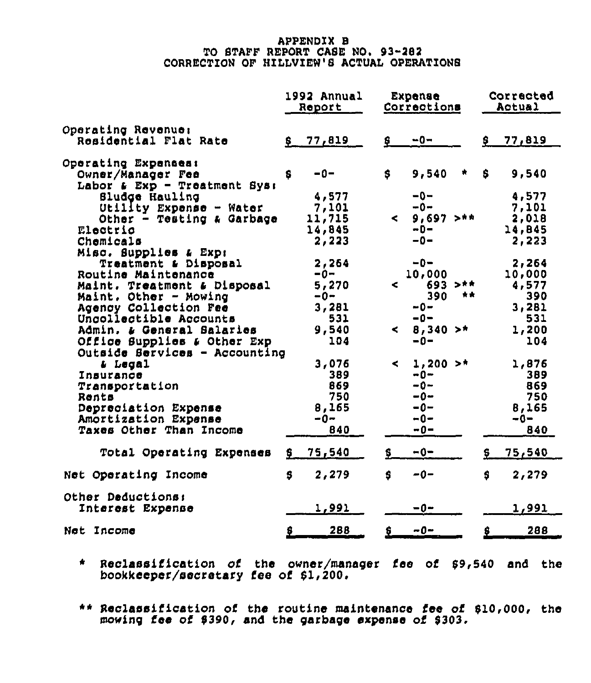# APPENDIX 8 TO STAFF REPORT CASE NO. 93-282 CORRECTION OF HIILVIEW'8 ACTUAL OPERATIONS

|                                                      |     | 1992 Annual<br>Report | Expense<br>Corrections     |               |     | Corrected<br>Actual |  |
|------------------------------------------------------|-----|-----------------------|----------------------------|---------------|-----|---------------------|--|
| Operating Revenue:                                   |     |                       |                            |               |     |                     |  |
| Residential Flat Rate                                |     | \$77,819              | \$                         | $-0-$         | \$. | 77,819              |  |
| Operating Expenses:                                  |     |                       |                            |               |     |                     |  |
| Owner/Manager Fee                                    | \$. | $-0-$                 | S.                         | 9,540<br>救    | S   | 9,540               |  |
| Labor $\boldsymbol{L}$ Exp - Treatment Sys:          |     |                       |                            |               |     |                     |  |
| Sludge Hauling                                       |     | 4,577                 |                            | $-0-$         |     | 4,577               |  |
|                                                      |     | 7,101                 |                            | $-0-$         |     | 7,101               |  |
| Utility Expense - Water<br>Other - Testing & Garbage |     | 11,715                | $\sim$                     | $9.697$ $>**$ |     | 2,018               |  |
| Electric                                             |     | 14,845                |                            | $-0-$         |     | 14,845              |  |
| Chemicals                                            |     | 2,223                 |                            | $-0-$         |     | 2,223               |  |
| Misc. Supplies & Expr                                |     |                       |                            |               |     |                     |  |
| Treatment & Disposal                                 |     | 2,264                 |                            | $-0-$         |     | 2,264               |  |
| Routine Maintenance                                  |     | $-0-$                 |                            | 10,000        |     | 10,000              |  |
| Maint. Treatment & Disposal                          |     | 5,270                 | ⋖                          | 693 > m       |     | 4,577               |  |
| Maint, Other - Mowing                                |     | -0−                   |                            | 390<br>青青     |     | 390                 |  |
| Agency Collection Fee                                |     | 3,281                 |                            | $-0-$         |     | 3,281               |  |
| Uncollectible Accounts                               |     | 531                   |                            | $-0-$         |     | 531                 |  |
| Admin. & General Salaries                            |     | 9,540                 | < $\overline{\phantom{a}}$ | $8,340 >$ *   |     | 1,200               |  |
| Office Supplies & Other Exp                          |     | 104                   |                            | $-0-$         |     | 104                 |  |
| Outside Services - Accounting                        |     |                       |                            |               |     |                     |  |
| & Legal                                              |     | 3,076                 | $\leq$                     | $1.200 >$ *   |     | 1,876               |  |
| Insurance                                            |     | 389                   |                            | -0−           |     | 389                 |  |
| Transportation                                       |     | 869                   |                            | $-0-$         |     | 869                 |  |
| Rents                                                |     | 750                   |                            | -0∼           |     | 750                 |  |
| Depreciation Expense                                 |     | 8,165                 |                            | $-0-$         |     | 8,165               |  |
| Amortization Expense                                 |     | $-0-$                 |                            | $-0-$         |     | $-0-$               |  |
| Taxes Other Than Income                              |     | 840                   |                            | $-0-$         |     | 840                 |  |
|                                                      |     |                       |                            |               |     |                     |  |
| Total Operating Expenses                             | s   | 75,540                | \$.                        | $-0-$         | \$. | 75,540              |  |
| Net Operating Income                                 | S   | 2,279                 | Ś                          | $-0-$         | S   | 2,279               |  |
| Other Deductions:                                    |     |                       |                            |               |     |                     |  |
| Interest Expense                                     |     | 1,991                 |                            | $-0-$         |     | 1,991               |  |
| Net Income                                           | \$  | 288                   | 8                          | $-0-$         | \$  | 288                 |  |

\* Reclassification of the owner/manager fee of 89,540 and the bookkeeper/secretary fee of 61,200,

4\* Reclassification of the routine maintenance fee of 810,000, the mowing fee of 8390, and the garbage expense of 8303.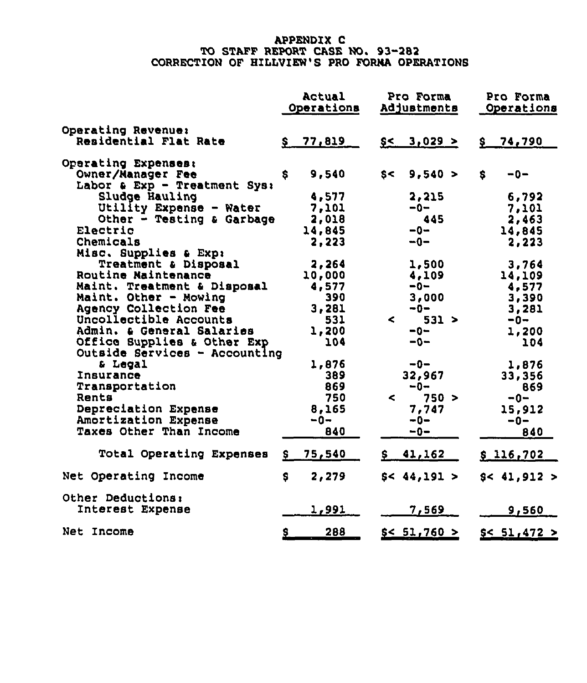# APPENDIX C<br>TO STAFF REPORT CASE NO. 93-282 CORRECTION OF HILLVI<mark>EW'S PRO FORNA OPERA</mark>TIONS

|                                 | Actual<br>Operations  | Pro Forma<br>Adjustments            | Pro Forma<br>Operations |
|---------------------------------|-----------------------|-------------------------------------|-------------------------|
| Operating Revenue:              |                       |                                     |                         |
| Residential Flat Rate           | \$77,819              | $$<$ 3,029 >                        | \$ 74,790               |
| Operating Expenses:             |                       |                                     |                         |
| Owner/Manager Fee               | 9,540<br>S.           | 9,540 ><br>$s$ $\sim$               | S.<br>$-0-$             |
| Labor & Exp - Treatment Sys:    |                       |                                     |                         |
| Sludge Hauling                  | 4,577                 | 2,215                               | 6,792                   |
| Utility Expense - Water         | 7,101                 | -0-                                 | 7,101                   |
| Other - Testing & Garbage       | 2,018                 | 445                                 | 2,463                   |
| Electric                        | 14,845                | $-0-$                               | 14,845                  |
| Chemicals                       | 2,223                 | -0-                                 | 2,223                   |
| Misc. Supplies & Exp:           |                       |                                     |                         |
| Treatment & Disposal            | 2,264                 | 1,500                               | 3,764                   |
| Routine Maintenance             | 10,000                | 4,109                               | 14,109                  |
| Maint. Treatment & Disposal     | 4,577                 | -0-                                 | 4,577                   |
| Maint. Other - Mowing           | 390                   | 3,000                               | 3,390                   |
| Agency Collection Fee           | 3,281                 | $-0-$                               | 3,281                   |
| Uncollectible Accounts          | 531                   | 531 ><br>$\sim$ $\sim$              | $-0-$                   |
| Admin. a General Salaries       | 1,200                 | $-0-$                               | 1,200                   |
| Office Supplies & Other Exp     | 104                   | $-0-$                               | 104                     |
| Outside Services - Accounting   |                       |                                     |                         |
| & Legal                         | 1,876                 | -0-                                 | 1,876                   |
| Insurance                       | 389                   | 32,967                              | 33,356                  |
| Transportation                  | 869                   | $-0-$                               | 869                     |
| Rents                           | 750                   | $\leq$ . The set of $\leq$<br>750 > | $-0-$                   |
| Depreciation Expense            | 8,165                 | 7,747                               | 15,912                  |
| Amortization Expense            | $-0-$                 | $-0-$                               | -0-                     |
| Taxes Other Than Income         | 840                   | $-0-$                               | 840                     |
| <b>Total Operating Expenses</b> | 75,540<br>S.          | 41,162                              | \$116,702               |
| Net Operating Income            | 2,279<br>s            | \$< 44,191>                         | \$< 41,912 >            |
| Other Deductions:               |                       |                                     |                         |
| Interest Expense                | 1,991                 | 7,569                               | 9,560                   |
| Net Income                      | $\overline{2}$<br>288 | \$< 51,760 >                        | \$< 51,472>             |